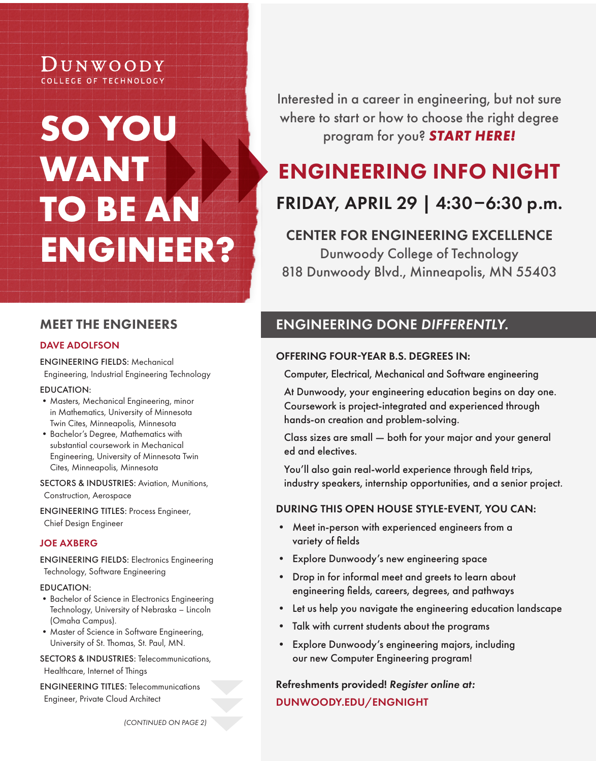# DUNWOODY COLLEGE OF TECHNOLOGY

# **SO YOU WANT TO BE AN ENGINEER?**

Interested in a career in engineering, but not sure where to start or how to choose the right degree program for you? *START HERE!*

# ENGINEERING INFO NIGHT

# FRIDAY, APRIL 29 | 4:30–6:30 p.m.

# CENTER FOR ENGINEERING EXCELLENCE

Dunwoody College of Technology 818 Dunwoody Blvd., Minneapolis, MN 55403

# MEET THE ENGINEERS

# DAVE ADOLFSON

ENGINEERING FIELDS: Mechanical Engineering, Industrial Engineering Technology

# EDUCATION:

- •Masters, Mechanical Engineering, minor in Mathematics, University of Minnesota Twin Cites, Minneapolis, Minnesota
- •Bachelor's Degree, Mathematics with substantial coursework in Mechanical Engineering, University of Minnesota Twin Cites, Minneapolis, Minnesota

SECTORS & INDUSTRIES: Aviation, Munitions, Construction, Aerospace

ENGINEERING TITLES: Process Engineer, Chief Design Engineer

# JOE AXBERG

ENGINEERING FIELDS: Electronics Engineering Technology, Software Engineering

# EDUCATION:

- •Bachelor of Science in Electronics Engineering Technology, University of Nebraska – Lincoln (Omaha Campus).
- •Master of Science in Software Engineering, University of St. Thomas, St. Paul, MN.

SECTORS & INDUSTRIES: Telecommunications,

Healthcare, Internet of Things

ENGINEERING TITLES: Telecommunications Engineer, Private Cloud Architect

# ENGINEERING DONE *DIFFERENTLY.*

# OFFERING FOUR-YEAR B.S. DEGREES IN:

Computer, Electrical, Mechanical and Software engineering

At Dunwoody, your engineering education begins on day one. Coursework is project-integrated and experienced through hands-on creation and problem-solving.

Class sizes are small — both for your major and your general ed and electives.

You'll also gain real-world experience through field trips, industry speakers, internship opportunities, and a senior project.

# DURING THIS OPEN HOUSE STYLE-EVENT, YOU CAN:

- Meet in-person with experienced engineers from a variety of fields
- Explore Dunwoody's new engineering space
- Drop in for informal meet and greets to learn about engineering fields, careers, degrees, and pathways
- Let us help you navigate the engineering education landscape
- Talk with current students about the programs
- Explore Dunwoody's engineering majors, including our new Computer Engineering program!

# Refreshments provided! *Register online at:*  DUNWOODY.EDU/ENGNIGHT

*(CONTINUED ON PAGE 2)*